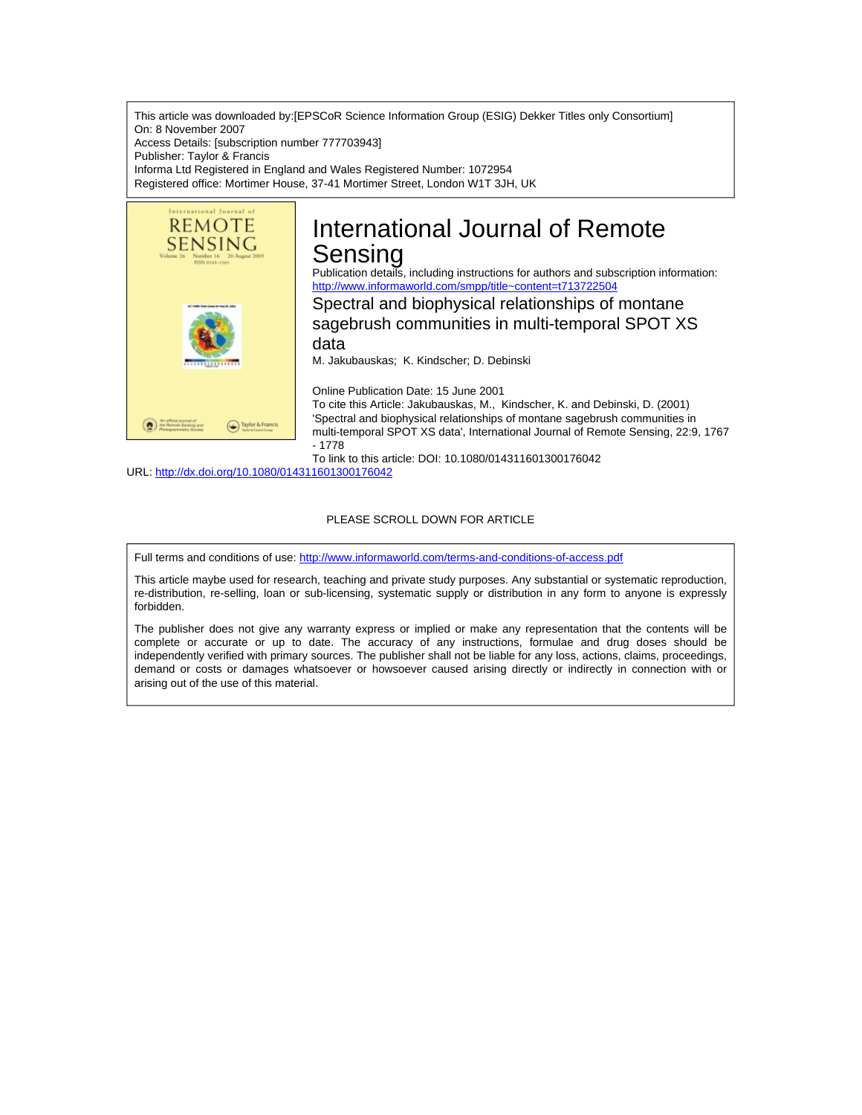This article was downloaded by:[EPSCoR Science Information Group (ESIG) Dekker Titles only Consortium] On: 8 November 2007 Access Details: [subscription number 777703943] Publisher: Taylor & Francis Informa Ltd Registered in England and Wales Registered Number: 1072954 Registered office: Mortimer House, 37-41 Mortimer Street, London W1T 3JH, UK



# International Journal of Remote Sensing

Publication details, including instructions for authors and subscription information: <http://www.informaworld.com/smpp/title~content=t713722504>

Spectral and biophysical relationships of montane sagebrush communities in multi-temporal SPOT XS data

M. Jakubauskas; K. Kindscher; D. Debinski

Online Publication Date: 15 June 2001

To cite this Article: Jakubauskas, M., Kindscher, K. and Debinski, D. (2001) 'Spectral and biophysical relationships of montane sagebrush communities in multi-temporal SPOT XS data', International Journal of Remote Sensing, 22:9, 1767 - 1778

To link to this article: DOI: 10.1080/014311601300176042

URL: <http://dx.doi.org/10.1080/014311601300176042>

# PLEASE SCROLL DOWN FOR ARTICLE

Full terms and conditions of use: <http://www.informaworld.com/terms-and-conditions-of-access.pdf>

This article maybe used for research, teaching and private study purposes. Any substantial or systematic reproduction, re-distribution, re-selling, loan or sub-licensing, systematic supply or distribution in any form to anyone is expressly forbidden.

The publisher does not give any warranty express or implied or make any representation that the contents will be complete or accurate or up to date. The accuracy of any instructions, formulae and drug doses should be independently verified with primary sources. The publisher shall not be liable for any loss, actions, claims, proceedings, demand or costs or damages whatsoever or howsoever caused arising directly or indirectly in connection with or arising out of the use of this material.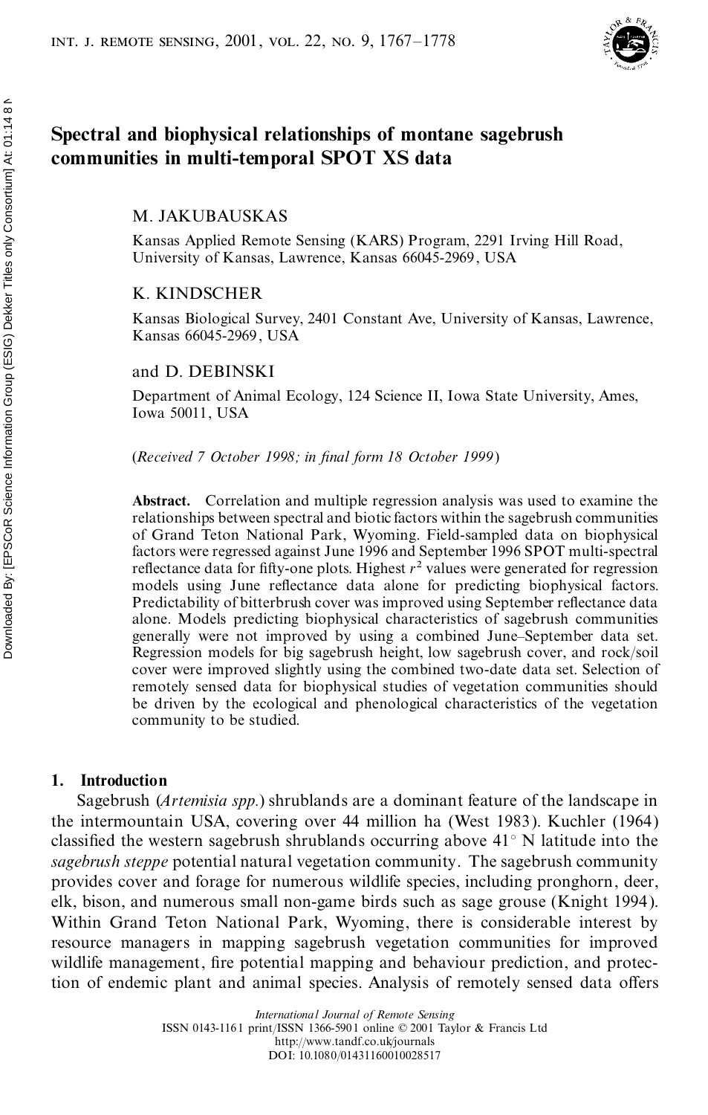

# **Spectral and biophysical relationships of montane sagebrush communities in multi-temporal SPOT XS data**

M. JAKUBAUSKAS

Kansas Applied Remote Sensing (KARS) Program, 2291 Irving Hill Road, University of Kansas, Lawrence, Kansas 66045-2969, USA

# K. KINDSCHER

Kansas Biological Survey, 2401 Constant Ave, University of Kansas, Lawrence, Kansas 66045-2969, USA

## and D. DEBINSKI

Department of Animal Ecology, 124 Science II, Iowa State University, Ames, Iowa 50011, USA

(*Received 7 October 1998; in nal form 18 October 1999*)

**Abstract.** Correlation and multiple regression analysis was used to examine the relationships between spectral and biotic factors within the sagebrush communities of Grand Teton National Park, Wyoming. Field-sampled data on biophysical factors were regressed against June 1996 and September 1996 SPOT multi-spectral reflectance data for fifty-one plots. Highest  $r^2$  values were generated for regression models using June reflectance data alone for predicting biophysical factors. Predictability of bitterbrush cover was improved using September reflectance data alone. Models predicting biophysical characteristics of sagebrush communities generally were not improved by using a combined June–September data set. Regression models for big sagebrush height, low sagebrush cover, and rock/soil cover were improved slightly using the combined two-date data set. Selection of remotely sensed data for biophysical studies of vegetation communities should be driven by the ecological and phenological characteristics of the vegetation community to be studied.

## **1. Introduction**

Sagebrush (*Artemisia spp.*) shrublands are a dominant feature of the landscape in the intermountain USA, covering over 44 million ha (West 1983). Kuchler (1964) classified the western sagebrush shrublands occurring above  $41^{\circ}$  N latitude into the *sagebrush steppe* potential natural vegetation community. The sagebrush community provides cover and forage for numerous wildlife species, including pronghorn, deer, elk, bison, and numerous small non-game birds such as sage grouse (Knight 1994). Within Grand Teton National Park, Wyoming, there is considerable interest by resource managers in mapping sagebrush vegetation communities for improved wildlife management, fire potential mapping and behaviour prediction, and protection of endemic plant and animal species. Analysis of remotely sensed data offers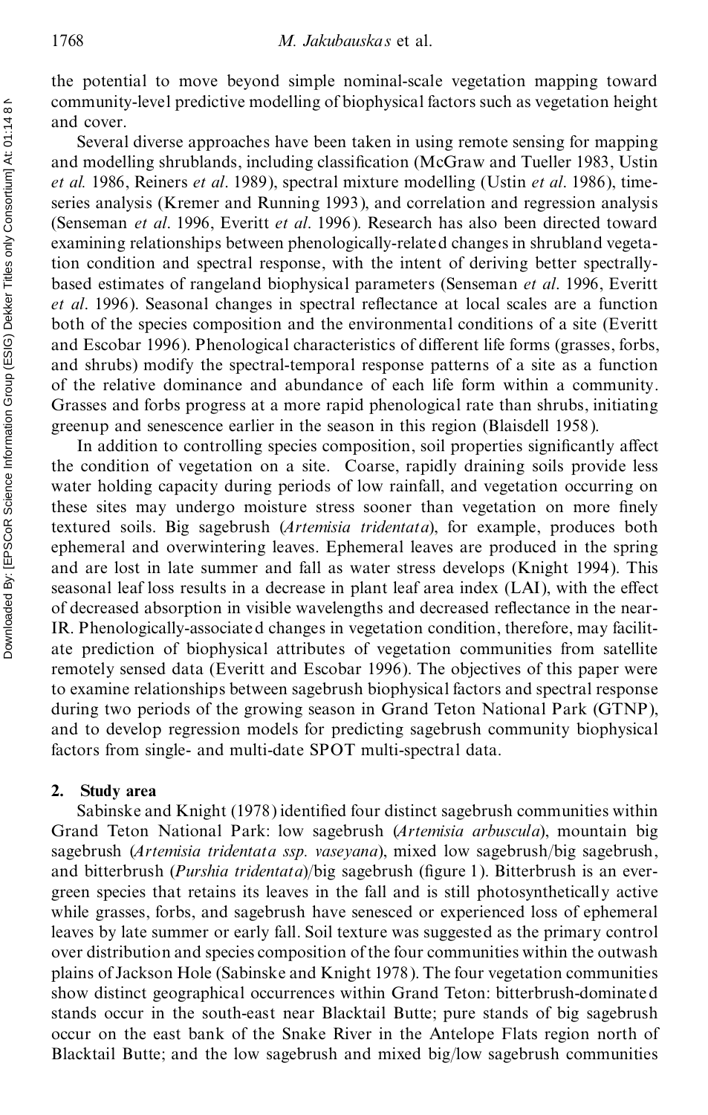the potential to move beyond simple nominal-scale vegetation mapping toward community-level predictive modelling of biophysical factors such as vegetation height and cover.

Several diverse approaches have been taken in using remote sensing for mapping and modelling shrublands, including classification (McGraw and Tueller 1983, Ustin *et al.* 1986, Reiners *et al*. 1989), spectral mixture modelling (Ustin *et al*. 1986), timeseries analysis (Kremer and Running 1993), and correlation and regression analysis (Senseman *et al*. 1996, Everitt *et al*. 1996). Research has also been directed toward examining relationships between phenologically-related changes in shrubland vegetation condition and spectral response, with the intent of deriving better spectrally based estimates of rangeland biophysical parameters (Senseman *et al*. 1996, Everitt *et al.* 1996). Seasonal changes in spectral reflectance at local scales are a function both of the species composition and the environmental conditions of a site (Everitt and Escobar 1996). Phenological characteristics of different life forms (grasses, forbs, and shrubs) modify the spectral-temporal response patterns of a site as a function of the relative dominance and abundance of each life form within a community. Grasses and forbs progress at a more rapid phenological rate than shrubs, initiating greenup and senescence earlier in the season in this region (Blaisdell 1958).

In addition to controlling species composition, soil properties significantly affect the condition of vegetation on a site. Coarse, rapidly draining soils provide less water holding capacity during periods of low rainfall, and vegetation occurring on these sites may undergo moisture stress sooner than vegetation on more finely textured soils. Big sagebrush (*Artemisia tridentata*), for example, produces both ephemeral and overwintering leaves. Ephemeral leaves are produced in the spring and are lost in late summer and fall as water stress develops (Knight 1994). This seasonal leaf loss results in a decrease in plant leaf area index (LAI), with the effect of decreased absorption in visible wavelengths and decreased reflectance in the near-IR. Phenologically-associated changes in vegetation condition, therefore, may facilit ate prediction of biophysical attributes of vegetation communities from satellite remotely sensed data (Everitt and Escobar 1996). The objectives of this paper were to examine relationships between sagebrush biophysical factors and spectral response during two periods of the growing season in Grand Teton National Park (GTNP), and to develop regression models for predicting sagebrush community biophysical factors from single- and multi-date SPOT multi-spectral data.

## **2. Study area**

Sabinske and Knight (1978) identified four distinct sagebrush communities within Grand Teton National Park: low sagebrush (*Artemisia arbuscula*), mountain big sagebrush (*Artemisia tridentata ssp. vaseyana*), mixed low sagebrush/big sagebrush, and bitterbrush (*Purshia tridentata*)/big sagebrush (figure 1). Bitterbrush is an evergreen species that retains its leaves in the fall and is still photosynthetically active while grasses, forbs, and sagebrush have senesced or experienced loss of ephemeral leaves by late summer or early fall. Soil texture was suggested as the primary control over distribution and species composition ofthe four communities within the outwash plains of Jackson Hole (Sabinske and Knight 1978). The four vegetation communities show distinct geographical occurrences within Grand Teton: bitterbrush-dominated stands occur in the south-east near Blacktail Butte; pure stands of big sagebrush occur on the east bank of the Snake River in the Antelope Flats region north of Blacktail Butte; and the low sagebrush and mixed big/low sagebrush communities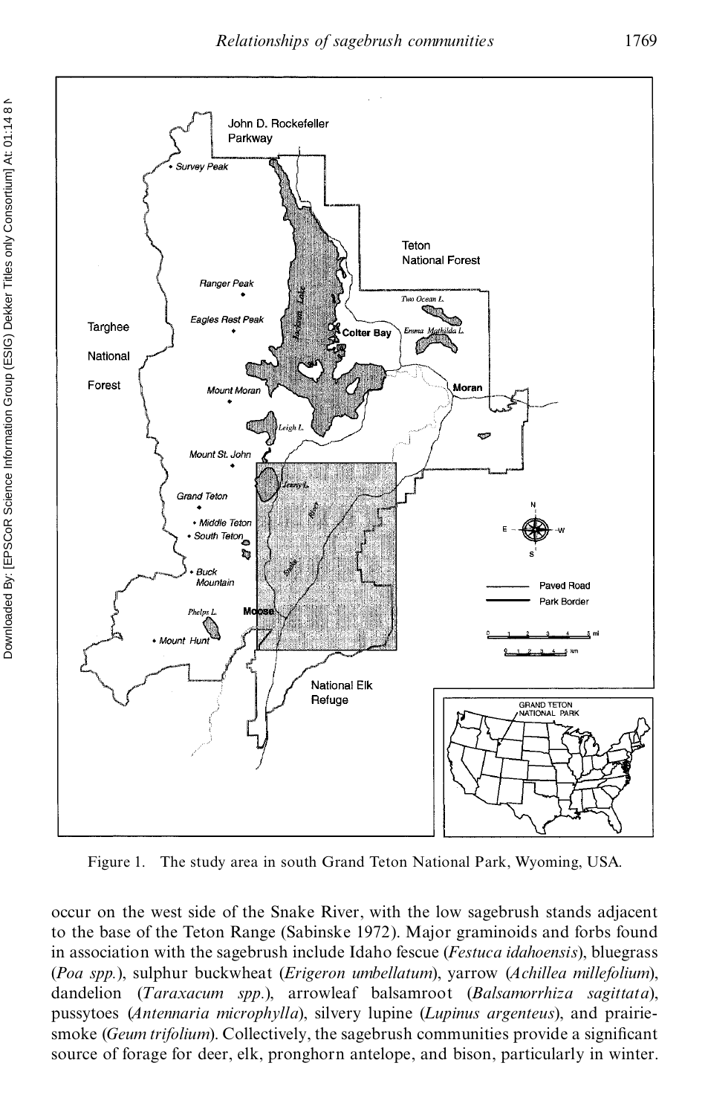

Figure 1. The study area in south Grand Teton National Park, Wyoming, USA.

occur on the west side of the Snake River, with the low sagebrush stands adjacent to the base of the Teton Range (Sabinske 1972). Major graminoids and forbs found in association with the sagebrush include Idaho fescue (*Festuca idahoensis*), bluegrass (*Poa spp.*), sulphur buckwheat (*Erigeron umbellatum*), yarrow (*Achillea millefolium*), dandelion (*Taraxacum spp.*), arrowleaf balsamroot (*Balsamorrhiza sagittata*), pussytoes (*Antennaria microphylla*), silvery lupine (*Lupinus argenteus*), and prairiesmoke *(Geum trifolium)*. Collectively, the sagebrush communities provide a significant source of forage for deer, elk, pronghorn antelope, and bison, particularly in winter.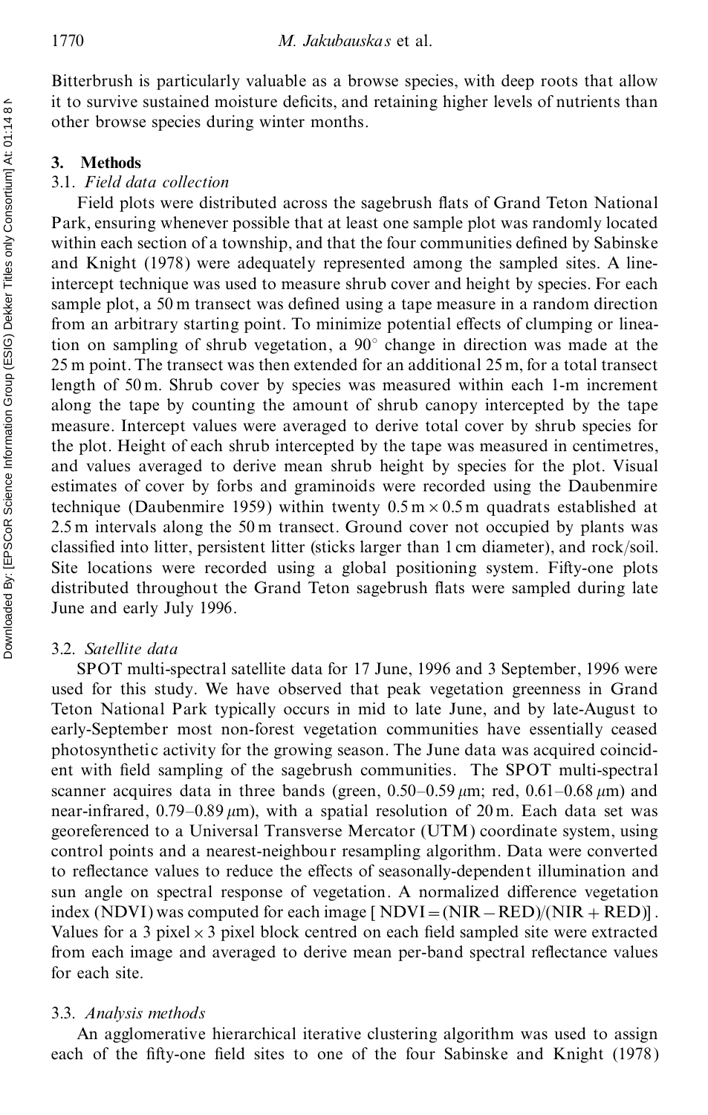Bitterbrush is particularly valuable as a browse species, with deep roots that allow it to survive sustained moisture deficits, and retaining higher levels of nutrients than other browse species during winter months.

## **3. Methods**

#### 3.1. *Field data collection*

Field plots were distributed across the sagebrush flats of Grand Teton National Park, ensuring whenever possible that at least one sample plot was randomly located within each section of a township, and that the four communities defined by Sabinske and Knight (1978) were adequately represented among the sampled sites. A lineintercept technique was used to measure shrub cover and height by species. For each sample plot, a 50 m transect was defined using a tape measure in a random direction from an arbitrary starting point. To minimize potential effects of clumping or lineation on sampling of shrub vegetation, a 90° change in direction was made at the 25 m point. The transect was then extended for an additional 25 m, for a total transect length of 50 m. Shrub cover by species was measured within each 1-m increment along the tape by counting the amount of shrub canopy intercepted by the tape measure. Intercept values were averaged to derive total cover by shrub species for the plot. Height of each shrub intercepted by the tape was measured in centimetres, and values averaged to derive mean shrub height by species for the plot. Visual estimates of cover by forbs and graminoids were recorded using the Daubenmire technique (Daubenmire 1959) within twenty  $0.5 \text{ m} \times 0.5 \text{ m}$  quadrats established at 2.5 m intervals along the 50 m transect. Ground cover not occupied by plants was classi ed into litter, persistent litter (sticks larger than 1 cm diameter), and rock/soil. Site locations were recorded using a global positioning system. Fifty-one plots distributed throughout the Grand Teton sagebrush flats were sampled during late June and early July 1996.

## 3.2. *Satellite data*

SPOT multi-spectral satellite data for 17 June, 1996 and 3 September, 1996 were used for this study. We have observed that peak vegetation greenness in Grand Teton National Park typically occurs in mid to late June, and by late-August to early-September most non-forest vegetation communities have essentially ceased photosynthetic activity for the growing season. The June data was acquired coincid ent with field sampling of the sagebrush communities. The SPOT multi-spectral scanner acquires data in three bands (green,  $0.50-0.59 \mu m$ ; red,  $0.61-0.68 \mu m$ ) and near-infrared,  $0.79-0.89 \mu m$ , with a spatial resolution of 20 m. Each data set was georeferenced to a Universal Transverse Mercator (UTM) coordinate system, using control points and a nearest-neighbour resampling algorithm. Data were converted to reflectance values to reduce the effects of seasonally-dependent illumination and sun angle on spectral response of vegetation. A normalized difference vegetation index (NDVI) was computed for each image [NDVI = (NIR – RED)/(NIR + RED)]. Values for a 3 pixel  $\times$  3 pixel block centred on each field sampled site were extracted from each image and averaged to derive mean per-band spectral reflectance values for each site.

#### 3.3. *Analysis methods*

An agglomerative hierarchical iterative clustering algorithm was used to assign each of the fifty-one field sites to one of the four Sabinske and Knight (1978)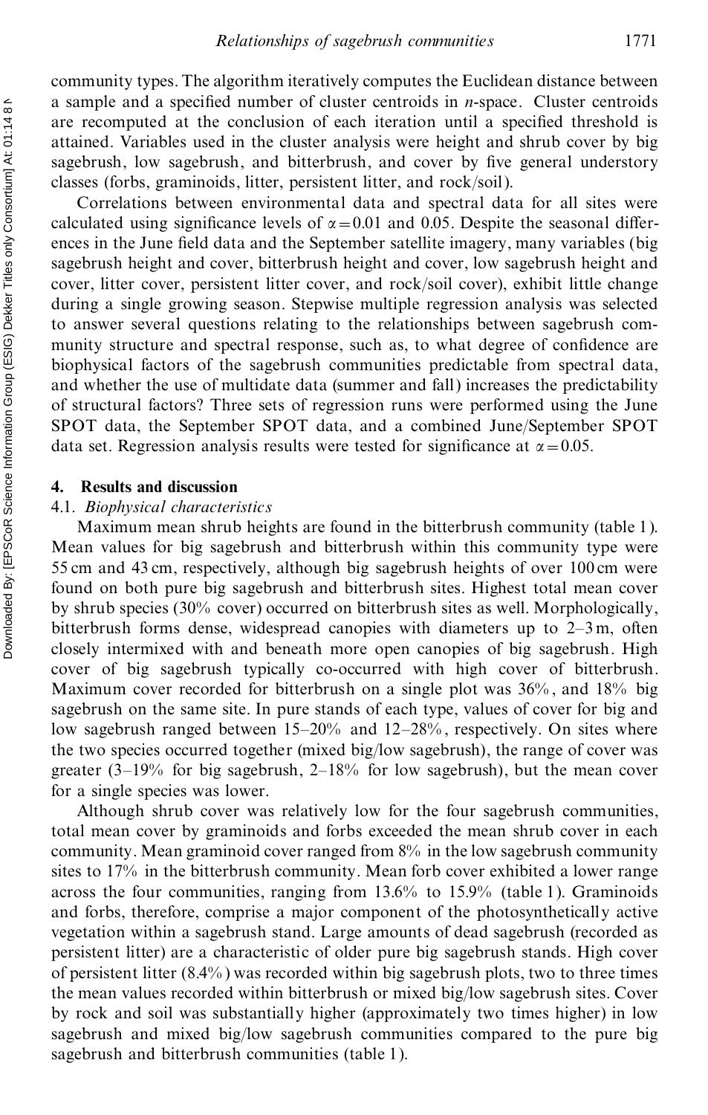community types. The algorithm iteratively computes the Euclidean distance between a sample and a specified number of cluster centroids in *n*-space. Cluster centroids are recomputed at the conclusion of each iteration until a specified threshold is attained. Variables used in the cluster analysis were height and shrub cover by big sagebrush, low sagebrush, and bitterbrush, and cover by five general understory classes (forbs, graminoids, litter, persistent litter, and rock/soil).

Correlations between environmental data and spectral data for all sites were calculated using significance levels of  $\alpha = 0.01$  and 0.05. Despite the seasonal differences in the June field data and the September satellite imagery, many variables (big sagebrush height and cover, bitterbrush height and cover, low sagebrush height and cover, litter cover, persistent litter cover, and rock/soil cover), exhibit little change during a single growing season. Stepwise multiple regression analysis was selected to answer several questions relating to the relationships between sagebrush com munity structure and spectral response, such as, to what degree of confidence are biophysical factors of the sagebrush communities predictable from spectral data, and whether the use of multidate data (summer and fall) increases the predictability of structural factors? Three sets of regression runs were performed using the June SPOT data, the September SPOT data, and a combined June/September SPOT data set. Regression analysis results were tested for significance at  $\alpha = 0.05$ .

#### **4. Results and discussion**

# 4.1. *Biophysical characteristics*

Maximum mean shrub heights are found in the bitterbrush community (table 1). Mean values for big sagebrush and bitterbrush within this community type were 55 cm and 43 cm, respectively, although big sagebrush heights of over 100 cm were found on both pure big sagebrush and bitterbrush sites. Highest total mean cover by shrub species (30% cover) occurred on bitterbrush sites as well. Morphologically, bitterbrush forms dense, widespread canopies with diameters up to 2–3 m, often closely intermixed with and beneath more open canopies of big sagebrush. High cover of big sagebrush typically co-occurred with high cover of bitterbrush. Maximum cover recorded for bitterbrush on a single plot was 36% , and 18% big sagebrush on the same site. In pure stands of each type, values of cover for big and low sagebrush ranged between 15–20% and 12–28% , respectively. On sites where the two species occurred together (mixed big/low sagebrush), the range of cover was greater (3–19% for big sagebrush, 2–18% for low sagebrush), but the mean cover for a single species was lower.

Although shrub cover was relatively low for the four sagebrush communities, total mean cover by graminoids and forbs exceeded the mean shrub cover in each community. Mean graminoid cover ranged from 8% in the low sagebrush community sites to 17% in the bitterbrush community. Mean forb cover exhibited a lower range across the four communities, ranging from 13.6% to 15.9% (table 1). Graminoids and forbs, therefore, comprise a major component of the photosynthetically active vegetation within a sagebrush stand. Large amounts of dead sagebrush (recorded as persistent litter) are a characteristic of older pure big sagebrush stands. High cover of persistent litter (8.4% ) was recorded within big sagebrush plots, two to three times the mean values recorded within bitterbrush or mixed big/low sagebrush sites. Cover by rock and soil was substantially higher (approximately two times higher) in low sagebrush and mixed big/low sagebrush communities compared to the pure big sagebrush and bitterbrush communities (table 1).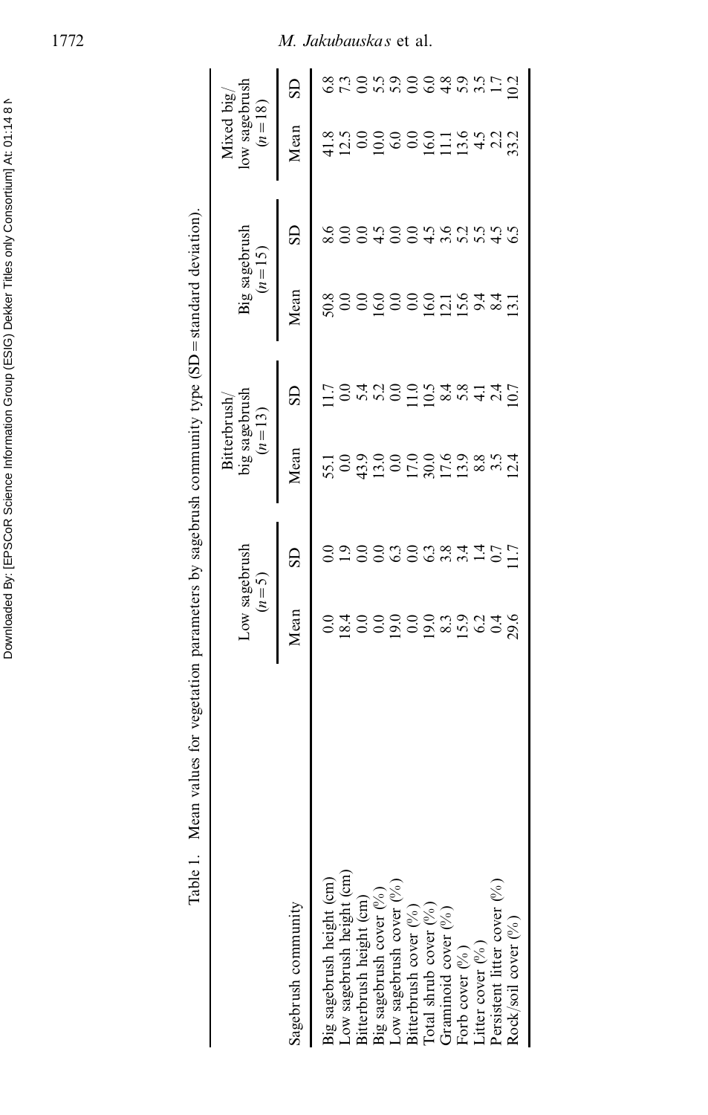|                                                                      |                        |                          | Bitterbrush                |                                                                       |                 |                           | Mixed $big/$              |             |
|----------------------------------------------------------------------|------------------------|--------------------------|----------------------------|-----------------------------------------------------------------------|-----------------|---------------------------|---------------------------|-------------|
|                                                                      |                        | Low sagebrush<br>$(n=5)$ |                            | big sagebrush<br>$(n = 13)$                                           |                 | Big sagebrush<br>$(n=15)$ | low sagebrush<br>$(n=18)$ |             |
| Sagebrush community                                                  | Mean                   | GS                       | Mean                       | SD                                                                    | Mean            | SD                        | Mean                      | GS          |
| Big sagebrush height (cm)                                            | $_{\rm 0.0}$           |                          | 55.1                       |                                                                       | 50.8            | 8.6                       |                           | 6.8         |
| Low sagebrush height (cm)                                            | 18.4                   | $\ddot{0}$               | 0.0                        |                                                                       | $\overline{0}$  | $\rm{S}$                  | 12.5                      |             |
| Bitterbrush height (cm)                                              |                        | $_{0.0}$                 |                            |                                                                       |                 |                           | $\overline{0.0}$          |             |
| Big sagebrush cover $(\%)$                                           |                        | 0.0                      | 43.0<br>13.0               | 5.300                                                                 | $rac{0.0}{0.0}$ | 0.40                      | $\overline{0}$            |             |
| Low sagebrush cover (%)                                              | 000000000<br>000000000 | 63                       |                            |                                                                       |                 |                           | 6.0                       | nongooggani |
| Bitterbrush cover $(\%)$                                             |                        |                          |                            |                                                                       |                 | $0.96$<br>0.4 $0.9$       |                           |             |
| Total shrub cover $\binom{96}{6}$<br>Graminoid cover $\binom{96}{6}$ |                        |                          |                            |                                                                       |                 |                           | 0.0011                    |             |
|                                                                      |                        |                          |                            |                                                                       |                 |                           |                           |             |
| Forb cover $(\%)$                                                    |                        | 0.084                    | 0000008<br>000000<br>00000 | $\frac{1}{1}$ $\frac{5}{2}$ $\frac{8}{4}$ $\frac{6}{4}$ $\frac{4}{4}$ | 000194          | 5.5                       | $13.6$<br>4.5             |             |
| Litter cover $(\%)$                                                  |                        | $\vec{a}$                |                            |                                                                       |                 |                           |                           |             |
| Persistent litter cover $(\%)$                                       |                        | 0.7                      |                            | $\frac{24}{10.7}$                                                     | 8.4             | $rac{3}{5}$               | 22                        |             |
| Rock/soil cover (%)                                                  | 29.6                   | $\overline{1.7}$         | 2.4                        |                                                                       | ಸ               |                           | 33.2                      | 0.2         |

Table 1. Mean values for vegetation parameters by sagebrush community type  $(SD = standard deviation)$ .

Downloaded By: [EPSCoR Science Information Group (ESIG) Dekker Titles only Consortium] At: 01:14 8 N<br>Downloaded By: [EPSCoR Science Information Group (ESIG) Downloaded By: [EPSCoR Science Information Group (ESIG) Dekker Titles only Consortium] At: 01:14 8 N

# 1772 *M. Jakubauskas* et al.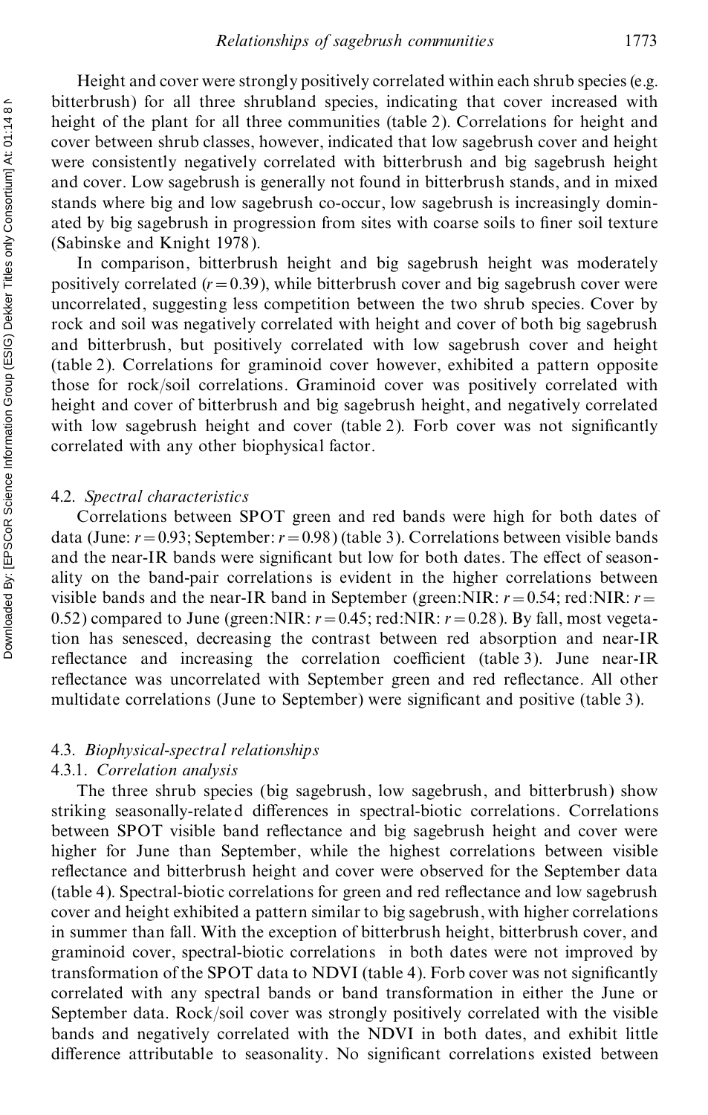Height and cover were strongly positively correlated within each shrub species (e.g. bitterbrush) for all three shrubland species, indicating that cover increased with height of the plant for all three communities (table 2). Correlations for height and cover between shrub classes, however, indicated that low sagebrush cover and height were consistently negatively correlated with bitterbrush and big sagebrush height and cover. Low sagebrush is generally not found in bitterbrush stands, and in mixed stands where big and low sagebrush co-occur, low sagebrush is increasingly domin ated by big sagebrush in progression from sites with coarse soils to finer soil texture (Sabinske and Knight 1978).

In comparison, bitterbrush height and big sagebrush height was moderately positively correlated  $(r=0.39)$ , while bitterbrush cover and big sagebrush cover were uncorrelated, suggesting less competition between the two shrub species. Cover by rock and soil was negatively correlated with height and cover of both big sagebrush and bitterbrush, but positively correlated with low sagebrush cover and height (table 2). Correlations for graminoid cover however, exhibited a pattern opposite those for rock/soil correlations. Graminoid cover was positively correlated with height and cover of bitterbrush and big sagebrush height, and negatively correlated with low sagebrush height and cover (table 2). Forb cover was not significantly correlated with any other biophysical factor.

#### 4.2. *Spectral characteristics*

Correlations between SPOT green and red bands were high for both dates of data (June: *r*=0.93; September:*r*=0.98) (table 3). Correlations between visible bands and the near-IR bands were significant but low for both dates. The effect of seasonality on the band-pair correlations is evident in the higher correlations between visible bands and the near-IR band in September (green:NIR:  $r = 0.54$ ; red:NIR:  $r =$ 0.52) compared to June (green:NIR:  $r = 0.45$ ; red:NIR:  $r = 0.28$ ). By fall, most vegetation has senesced, decreasing the contrast between red absorption and near-IR reflectance and increasing the correlation coefficient (table 3). June near-IR reflectance was uncorrelated with September green and red reflectance. All other multidate correlations (June to September) were significant and positive (table 3).

#### 4.3. *Biophysical-spectral relationships*

## 4.3.1. *Correlation analysis*

The three shrub species (big sagebrush, low sagebrush, and bitterbrush) show striking seasonally-related differences in spectral-biotic correlations. Correlations between SPOT visible band reflectance and big sagebrush height and cover were higher for June than September, while the highest correlations between visible reflectance and bitterbrush height and cover were observed for the September data (table 4). Spectral-biotic correlations for green and red reflectance and low sagebrush cover and height exhibited a pattern similar to big sagebrush, with higher correlations in summer than fall. With the exception of bitterbrush height, bitterbrush cover, and graminoid cover, spectral-biotic correlations in both dates were not improved by transformation of the SPOT data to NDVI (table 4). Forb cover was not significantly correlated with any spectral bands or band transformation in either the June or September data. Rock/soil cover was strongly positively correlated with the visible bands and negatively correlated with the NDVI in both dates, and exhibit little difference attributable to seasonality. No significant correlations existed between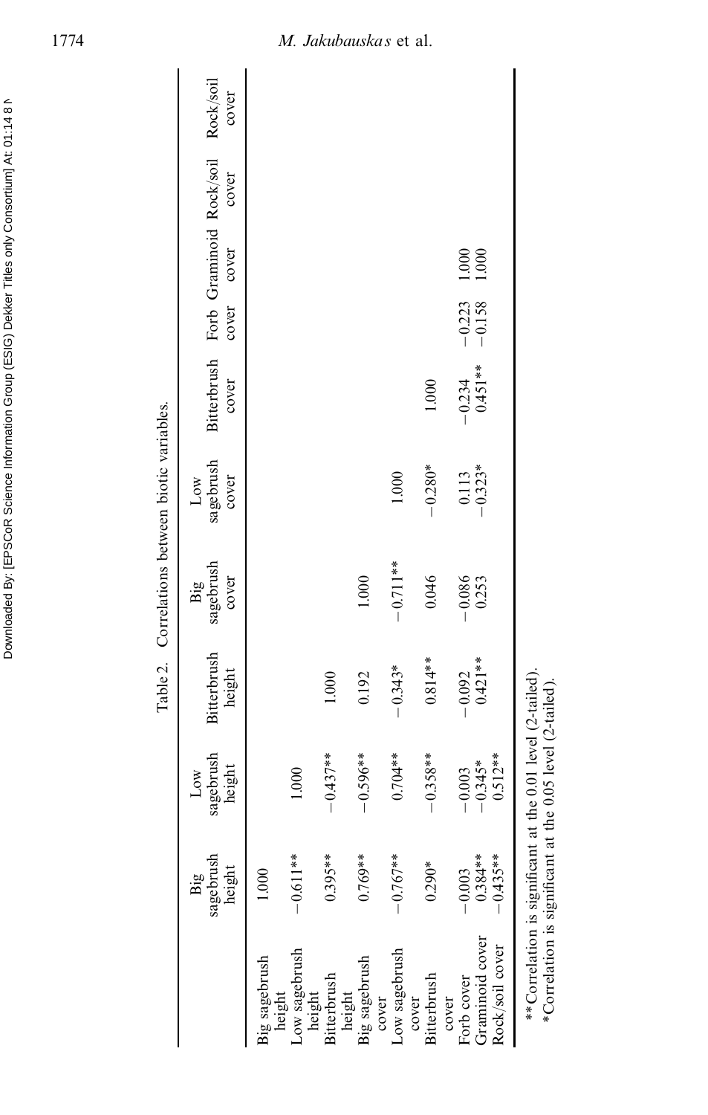|                                                           |                                    |                                                                                                   |                       | Table 2. Correlations between biotic variables. |                           |                                                         |                      |                     |       |       |
|-----------------------------------------------------------|------------------------------------|---------------------------------------------------------------------------------------------------|-----------------------|-------------------------------------------------|---------------------------|---------------------------------------------------------|----------------------|---------------------|-------|-------|
|                                                           | sagebrush<br>height<br>Big         | sagebrush<br>height<br>$_{\text{Low}}$                                                            | Bitterbrush<br>height | sagebrush<br>cover<br>Big                       | sagebrush<br>cover<br>Low | Bitterbrush Forb Graminoid Rock/soil Rock/soil<br>cover | cover                | cover               | cover | cover |
| Big sagebrush<br>height                                   | 1.000                              |                                                                                                   |                       |                                                 |                           |                                                         |                      |                     |       |       |
| Low sagebrush                                             | $-0.611**$                         | 1.000                                                                                             |                       |                                                 |                           |                                                         |                      |                     |       |       |
| Bitterbrush<br>height                                     | $0.395***$                         | $-0.437**$                                                                                        | 1.000                 |                                                 |                           |                                                         |                      |                     |       |       |
| Big sagebrush<br>height                                   | $0.769**$                          | $-0.596**$                                                                                        | 0.192                 | 1.000                                           |                           |                                                         |                      |                     |       |       |
| Low sagebrush<br>cover                                    | $-0.767**$                         | $0.704**$                                                                                         | $-0.343*$             | $-0.711**$                                      | 1.000                     |                                                         |                      |                     |       |       |
| Bitterbrush<br>cover                                      | $0.290*$                           | $-0.358**$                                                                                        | $0.814**$             | 0.046                                           | $-0.280*$                 | 1.000                                                   |                      |                     |       |       |
| Graminoid cover<br>Rock/soil cover<br>Forb cover<br>cover | $0.384**$<br>$0.435**$<br>$-0.003$ | $0.512**$<br>$-0.345*$<br>$-0.003$                                                                | $0.421**$<br>$-0.092$ | $-0.086$<br>0.253                               | $-0.113$<br>$-0.323*$     | $-0.234$<br>0.451**                                     | $-0.223$<br>$-0.158$ | $\frac{1000}{1000}$ |       |       |
|                                                           | **Correlation is significant at    | the $0.01$ level $(2$ -tailed).<br>*Correlation is significant at the $0.05$ level $(2$ -tailed). |                       |                                                 |                           |                                                         |                      |                     |       |       |

Downloaded By: [EPSCoR Science Information Group (ESIG) Dekker Titles only Consortium] At: 01:14 8 N<br>Downloaded By: [EPSCoR Science Information Group (ESIG)

Downloaded By: [EPSCoR Science Information Group (ESIG) Dekker Titles only Consortium] At: 01:14 8 N

# 1774 *M. Jakubauskas* et al.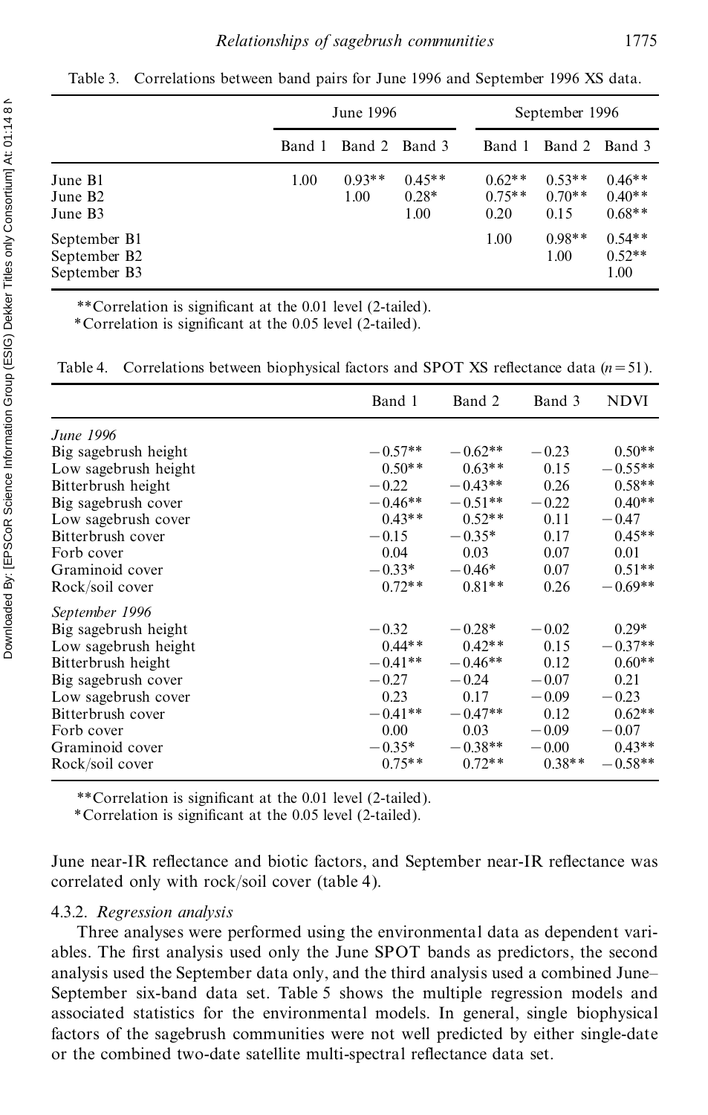|                                              |        | June 1996        |                             | September 1996               |                              |                                  |
|----------------------------------------------|--------|------------------|-----------------------------|------------------------------|------------------------------|----------------------------------|
|                                              | Band 1 | Band 2 Band 3    |                             | Band 1                       | Band 2 Band 3                |                                  |
| June B1<br>June B <sub>2</sub><br>June B3    | 1.00   | $0.93**$<br>1.00 | $0.45**$<br>$0.28*$<br>1.00 | $0.62**$<br>$0.75**$<br>0.20 | $0.53**$<br>$0.70**$<br>0.15 | $0.46**$<br>$0.40**$<br>$0.68**$ |
| September B1<br>September B2<br>September B3 |        |                  |                             | 1.00                         | $0.98**$<br>1.00             | $0.54**$<br>$0.52**$<br>1.00     |

Table 3. Correlations between band pairs for June 1996 and September 1996 XS data.

\*\*Correlation is significant at the 0.01 level (2-tailed).

\*Correlation is signi cant at the 0.05 level (2-tailed).

Table 4. Correlations between biophysical factors and SPOT XS reflectance data  $(n=51)$ .

|                      | Band 1    | Band 2    | Band 3   | <b>NDVI</b> |
|----------------------|-----------|-----------|----------|-------------|
| June 1996            |           |           |          |             |
| Big sagebrush height | $-0.57**$ | $-0.62**$ | $-0.23$  | $0.50**$    |
| Low sagebrush height | $0.50**$  | $0.63**$  | 0.15     | $-0.55**$   |
| Bitterbrush height   | $-0.22$   | $-0.43**$ | 0.26     | $0.58**$    |
| Big sagebrush cover  | $-0.46**$ | $-0.51**$ | $-0.22$  | $0.40**$    |
| Low sagebrush cover  | $0.43**$  | $0.52**$  | 0.11     | $-0.47$     |
| Bitterbrush cover    | $-0.15$   | $-0.35*$  | 0.17     | $0.45**$    |
| Forb cover           | 0.04      | 0.03      | 0.07     | 0.01        |
| Graminoid cover      | $-0.33*$  | $-0.46*$  | 0.07     | $0.51**$    |
| Rock/soil cover      | $0.72**$  | $0.81**$  | 0.26     | $-0.69**$   |
| September 1996       |           |           |          |             |
| Big sagebrush height | $-0.32$   | $-0.28*$  | $-0.02$  | $0.29*$     |
| Low sagebrush height | $0.44**$  | $0.42**$  | 0.15     | $-0.37**$   |
| Bitterbrush height   | $-0.41**$ | $-0.46**$ | 0.12     | $0.60**$    |
| Big sagebrush cover  | $-0.27$   | $-0.24$   | $-0.07$  | 0.21        |
| Low sagebrush cover  | 0.23      | 0.17      | $-0.09$  | $-0.23$     |
| Bitterbrush cover    | $-0.41**$ | $-0.47**$ | 0.12     | $0.62**$    |
| Forb cover           | 0.00      | 0.03      | $-0.09$  | $-0.07$     |
| Graminoid cover      | $-0.35*$  | $-0.38**$ | $-0.00$  | $0.43**$    |
| Rock/soil cover      | $0.75**$  | $0.72**$  | $0.38**$ | $-0.58**$   |
|                      |           |           |          |             |

\*\*Correlation is significant at the 0.01 level (2-tailed).

\*Correlation is signi cant at the 0.05 level (2-tailed).

June near-IR reflectance and biotic factors, and September near-IR reflectance was correlated only with rock/soil cover (table 4).

#### 4.3.2. *Regression analysis*

Three analyses were performed using the environmental data as dependent vari ables. The first analysis used only the June SPOT bands as predictors, the second analysis used the September data only, and the third analysis used a combined June– September six-band data set. Table 5 shows the multiple regression models and associated statistics for the environmental models. In general, single biophysical factors of the sagebrush communities were not well predicted by either single-date or the combined two-date satellite multi-spectral reflectance data set.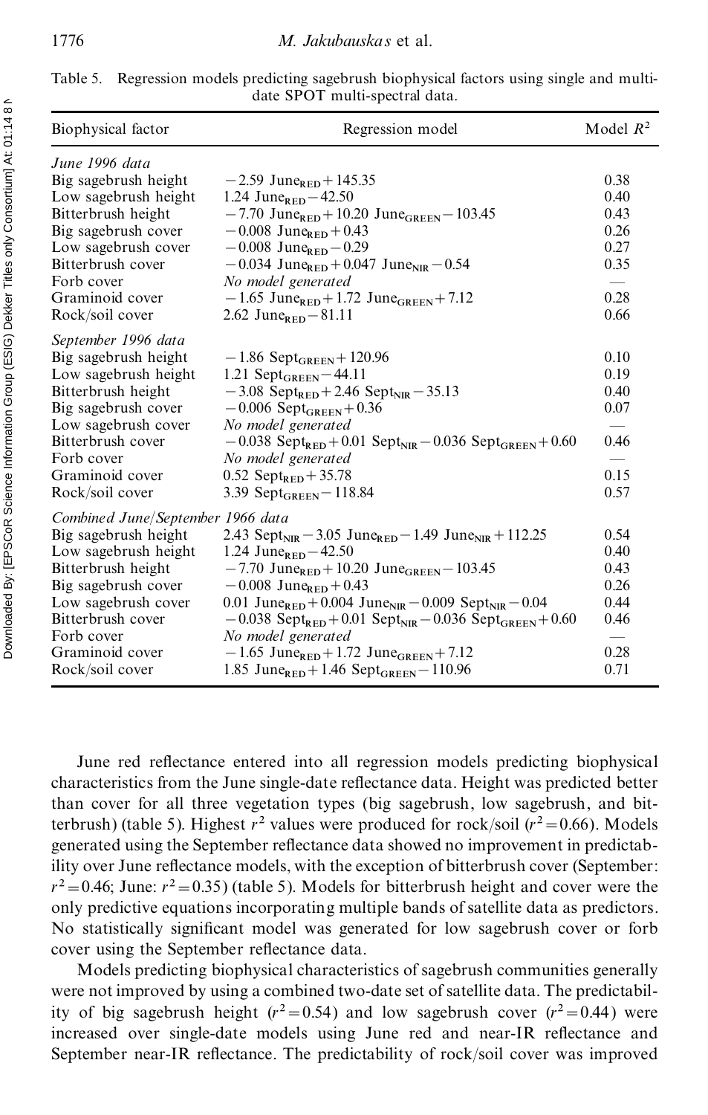| Biophysical factor                | Regression model                                                                             | Model $R^2$ |
|-----------------------------------|----------------------------------------------------------------------------------------------|-------------|
| June 1996 data                    |                                                                                              |             |
| Big sagebrush height              | $-2.59$ June <sub>RED</sub> + 145.35                                                         | 0.38        |
| Low sagebrush height              | 1.24 June <sub>RED</sub> $-42.50$                                                            | 0.40        |
| Bitterbrush height                | $-7.70$ June <sub>RED</sub> + 10.20 June <sub>GREEN</sub> - 103.45                           | 0.43        |
| Big sagebrush cover               | $-0.008$ June <sub>RED</sub> + 0.43                                                          | 0.26        |
| Low sagebrush cover               | $-0.008$ June <sub>RED</sub> $-0.29$                                                         | 0.27        |
| Bitterbrush cover                 | $-0.034$ June <sub>RED</sub> + 0.047 June <sub>NIR</sub> $-0.54$                             | 0.35        |
| Forb cover                        | No model generated                                                                           |             |
| Graminoid cover                   | $-1.65$ June <sub>RED</sub> + 1.72 June <sub>GREEN</sub> + 7.12                              | 0.28        |
| Rock/soil cover                   | 2.62 June <sub>RED</sub> $-81.11$                                                            | 0.66        |
| September 1996 data               |                                                                                              |             |
| Big sagebrush height              | $-1.86$ Sept <sub>GREEN</sub> + 120.96                                                       | 0.10        |
| Low sagebrush height              | 1.21 Sept $_{GREEN}$ – 44.11                                                                 | 0.19        |
| Bitterbrush height                | $-3.08$ Sept <sub>RED</sub> + 2.46 Sept <sub>NIR</sub> - 35.13                               | 0.40        |
| Big sagebrush cover               | $-0.006$ Sept <sub>GREEN</sub> $+0.36$                                                       | 0.07        |
| Low sagebrush cover               | No model generated                                                                           |             |
| Bitterbrush cover                 | $-0.038$ Sept <sub>RED</sub> + 0.01 Sept <sub>NIR</sub> - 0.036 Sept <sub>GREEN</sub> + 0.60 | 0.46        |
| Forb cover                        | No model generated                                                                           |             |
| Graminoid cover                   | 0.52 Sept <sub>RED</sub> + 35.78                                                             | 0.15        |
| Rock/soil cover                   | 3.39 Sept <sub>GREEN</sub> - 118.84                                                          | 0.57        |
| Combined June/September 1966 data |                                                                                              |             |
| Big sagebrush height              | 2.43 Sept <sub>NIR</sub> – 3.05 June <sub>RED</sub> – 1.49 June <sub>NIR</sub> + 112.25      | 0.54        |
| Low sagebrush height              | 1.24 June <sub>RED</sub> $-42.50$                                                            | 0.40        |
| Bitterbrush height                | $-7.70$ June <sub>RED</sub> + 10.20 June <sub>GREEN</sub> - 103.45                           | 0.43        |
| Big sagebrush cover               | $-0.008$ June <sub>RED</sub> + 0.43                                                          | 0.26        |
| Low sagebrush cover               | 0.01 June <sub>RED</sub> + 0.004 June <sub>NIR</sub> – 0.009 Sept <sub>NIR</sub> – 0.04      | 0.44        |
| Bitterbrush cover                 | $-0.038$ Sept <sub>RED</sub> + 0.01 Sept <sub>NIR</sub> - 0.036 Sept <sub>GREEN</sub> + 0.60 | 0.46        |
| Forb cover                        | No model generated                                                                           |             |
| Graminoid cover                   | $-1.65$ June <sub>RED</sub> + 1.72 June <sub>GREEN</sub> + 7.12                              | 0.28        |
| Rock/soil cover                   | 1.85 June <sub>RED</sub> + 1.46 Sept <sub>GREEN</sub> - 110.96                               | 0.71        |

| Table 5. Regression models predicting sagebrush biophysical factors using single and multi- |  |
|---------------------------------------------------------------------------------------------|--|
| date SPOT multi-spectral data.                                                              |  |

June red reflectance entered into all regression models predicting biophysical characteristics from the June single-date reflectance data. Height was predicted better than cover for all three vegetation types (big sagebrush, low sagebrush, and bitterbrush) (table 5). Highest  $r^2$  values were produced for rock/soil ( $r^2$  = 0.66). Models generated using the September reflectance data showed no improvement in predictability over June reflectance models, with the exception of bitterbrush cover (September:  $r^2$ =0.46; June:  $r^2$ =0.35) (table 5). Models for bitterbrush height and cover were the only predictive equations incorporating multiple bands ofsatellite data as predictors. No statistically significant model was generated for low sagebrush cover or forb cover using the September reflectance data.

Models predicting biophysical characteristics of sagebrush communities generally were not improved by using a combined two-date set of satellite data. The predictability of big sagebrush height ( $r^2 = 0.54$ ) and low sagebrush cover ( $r^2 = 0.44$ ) were increased over single-date models using June red and near-IR reflectance and September near-IR reflectance. The predictability of rock/soil cover was improved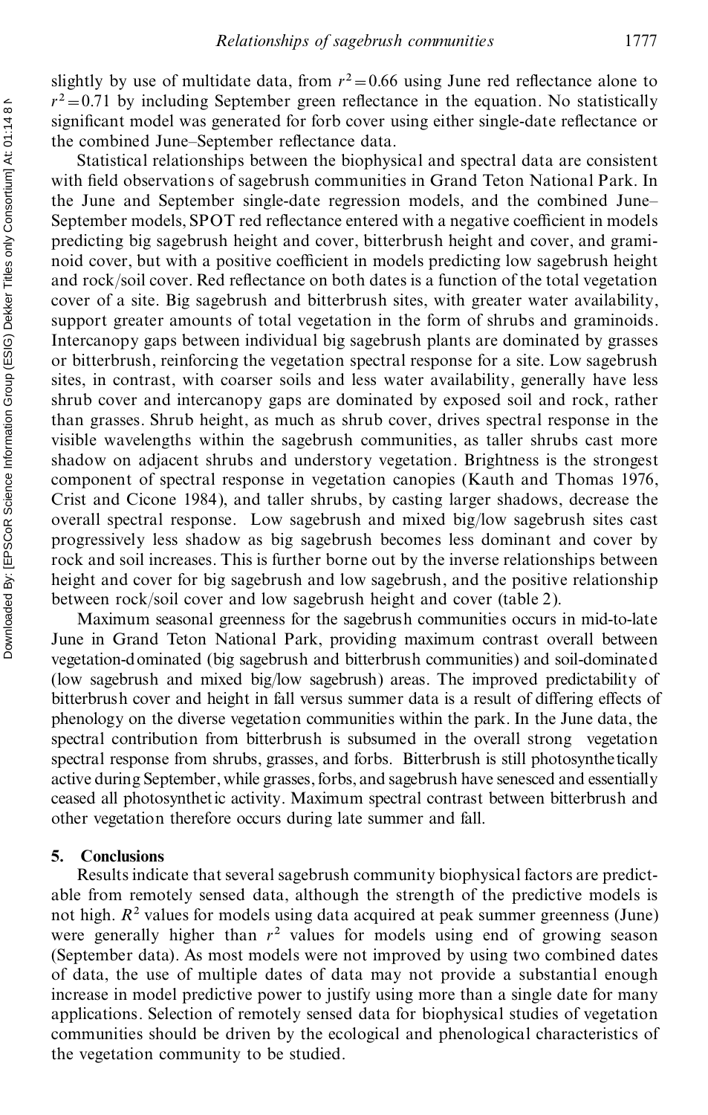Statistical relationships between the biophysical and spectral data are consistent with field observations of sagebrush communities in Grand Teton National Park. In the June and September single-date regression models, and the combined June– September models, SPOT red reflectance entered with a negative coefficient in models predicting big sagebrush height and cover, bitterbrush height and cover, and grami noid cover, but with a positive coefficient in models predicting low sagebrush height and rock/soil cover. Red reflectance on both dates is a function of the total vegetation cover of a site. Big sagebrush and bitterbrush sites, with greater water availability, support greater amounts of total vegetation in the form of shrubs and graminoids. Intercanopy gaps between individual big sagebrush plants are dominated by grasses or bitterbrush, reinforcing the vegetation spectral response for a site. Low sagebrush sites, in contrast, with coarser soils and less water availability, generally have less shrub cover and intercanopy gaps are dominated by exposed soil and rock, rather than grasses. Shrub height, as much as shrub cover, drives spectral response in the visible wavelengths within the sagebrush communities, as taller shrubs cast more shadow on adjacent shrubs and understory vegetation. Brightness is the strongest component of spectral response in vegetation canopies (Kauth and Thomas 1976, Crist and Cicone 1984), and taller shrubs, by casting larger shadows, decrease the overall spectral response. Low sagebrush and mixed big/low sagebrush sites cast progressively less shadow as big sagebrush becomes less dominant and cover by rock and soil increases. This is further borne out by the inverse relationships between height and cover for big sagebrush and low sagebrush, and the positive relationship between rock/soil cover and low sagebrush height and cover (table 2).

Maximum seasonal greenness for the sagebrush communities occurs in mid-to-late June in Grand Teton National Park, providing maximum contrast overall between vegetation-dominated (big sagebrush and bitterbrush communities) and soil-dominated (low sagebrush and mixed big/low sagebrush) areas. The improved predictability of bitterbrush cover and height in fall versus summer data is a result of differing effects of phenology on the diverse vegetation communities within the park. In the June data, the spectral contribution from bitterbrush is subsumed in the overall strong vegetation spectral response from shrubs, grasses, and forbs. Bitterbrush is still photosynthetically active during September, while grasses, forbs, and sagebrush have senesced and essentially ceased all photosynthetic activity. Maximum spectral contrast between bitterbrush and other vegetation therefore occurs during late summer and fall.

#### **5. Conclusions**

Results indicate that several sagebrush community biophysical factors are predict able from remotely sensed data, although the strength of the predictive models is not high.  $R^2$  values for models using data acquired at peak summer greenness (June) were generally higher than  $r^2$  values for models using end of growing season (September data). As most models were not improved by using two combined dates of data, the use of multiple dates of data may not provide a substantial enough increase in model predictive power to justify using more than a single date for many applications. Selection of remotely sensed data for biophysical studies of vegetation communities should be driven by the ecological and phenological characteristics of the vegetation community to be studied.